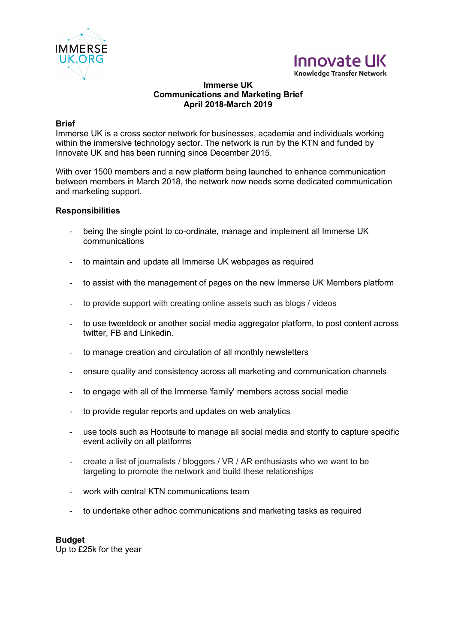



**Knowledge Transfer Network** 

#### **Immerse UK Communications and Marketing Brief April 2018-March 2019**

### **Brief**

Immerse UK is a cross sector network for businesses, academia and individuals working within the immersive technology sector. The network is run by the KTN and funded by Innovate UK and has been running since December 2015.

With over 1500 members and a new platform being launched to enhance communication between members in March 2018, the network now needs some dedicated communication and marketing support.

#### **Responsibilities**

- being the single point to co-ordinate, manage and implement all Immerse UK communications
- to maintain and update all Immerse UK webpages as required
- to assist with the management of pages on the new Immerse UK Members platform
- to provide support with creating online assets such as blogs / videos
- to use tweetdeck or another social media aggregator platform, to post content across twitter, FB and Linkedin.
- to manage creation and circulation of all monthly newsletters
- ensure quality and consistency across all marketing and communication channels
- to engage with all of the Immerse 'family' members across social medie
- to provide regular reports and updates on web analytics
- use tools such as Hootsuite to manage all social media and storify to capture specific event activity on all platforms
- create a list of journalists / bloggers / VR / AR enthusiasts who we want to be targeting to promote the network and build these relationships
- work with central KTN communications team
- to undertake other adhoc communications and marketing tasks as required

## **Budget**

Up to £25k for the year